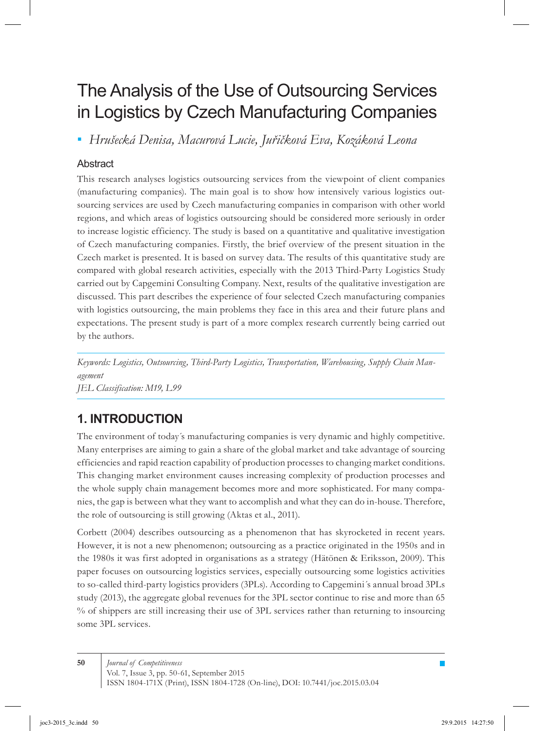# The Analysis of the Use of Outsourcing Services in Logistics by Czech Manufacturing Companies

**▪ Hrušecká Denisa, Macurová Lucie, Juřičková Eva, Kozáková Leona** 

### **Abstract**

This research analyses logistics outsourcing services from the viewpoint of client companies (manufacturing companies). The main goal is to show how intensively various logistics outsourcing services are used by Czech manufacturing companies in comparison with other world regions, and which areas of logistics outsourcing should be considered more seriously in order to increase logistic efficiency. The study is based on a quantitative and qualitative investigation of Czech manufacturing companies. Firstly, the brief overview of the present situation in the Czech market is presented. It is based on survey data. The results of this quantitative study are compared with global research activities, especially with the 2013 Third-Party Logistics Study carried out by Capgemini Consulting Company. Next, results of the qualitative investigation are discussed. This part describes the experience of four selected Czech manufacturing companies with logistics outsourcing, the main problems they face in this area and their future plans and expectations. The present study is part of a more complex research currently being carried out by the authors.

*Keywords: Logistics, Outsourcing, Third-Party Logistics, Transportation, Warehousing, Supply Chain Management JEL Classification: M19, L99*

# **1. INTRODUCTION**

The environment of today´s manufacturing companies is very dynamic and highly competitive. Many enterprises are aiming to gain a share of the global market and take advantage of sourcing efficiencies and rapid reaction capability of production processes to changing market conditions. This changing market environment causes increasing complexity of production processes and the whole supply chain management becomes more and more sophisticated. For many companies, the gap is between what they want to accomplish and what they can do in-house. Therefore, the role of outsourcing is still growing (Aktas et al., 2011).

Corbett (2004) describes outsourcing as a phenomenon that has skyrocketed in recent years. However, it is not a new phenomenon; outsourcing as a practice originated in the 1950s and in the 1980s it was first adopted in organisations as a strategy (Hätönen & Eriksson, 2009). This paper focuses on outsourcing logistics services, especially outsourcing some logistics activities to so-called third-party logistics providers (3PLs). According to Capgemini´s annual broad 3PLs study (2013), the aggregate global revenues for the 3PL sector continue to rise and more than 65 % of shippers are still increasing their use of 3PL services rather than returning to insourcing some 3PL services.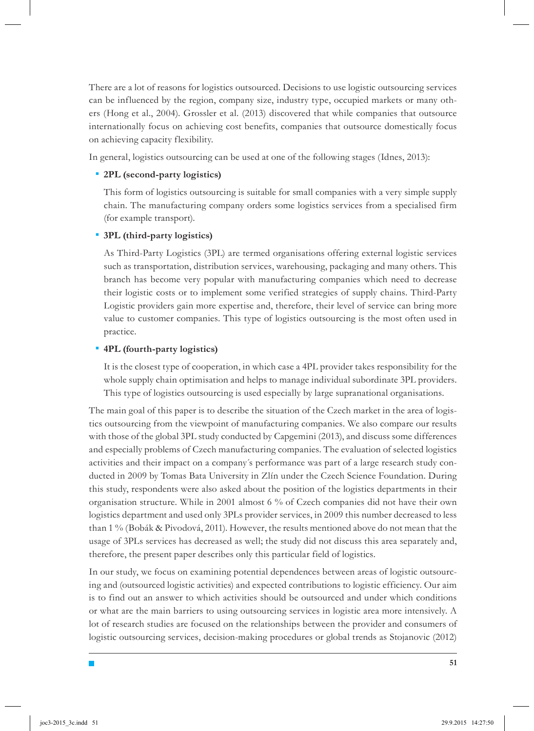There are a lot of reasons for logistics outsourced. Decisions to use logistic outsourcing services can be influenced by the region, company size, industry type, occupied markets or many others (Hong et al., 2004). Grossler et al. (2013) discovered that while companies that outsource internationally focus on achieving cost benefits, companies that outsource domestically focus on achieving capacity flexibility.

In general, logistics outsourcing can be used at one of the following stages (Idnes, 2013):

#### **2PL (second-party logistics)** *▪*

This form of logistics outsourcing is suitable for small companies with a very simple supply chain. The manufacturing company orders some logistics services from a specialised firm (for example transport).

#### **3PL (third-party logistics)** *▪*

As Third-Party Logistics (3PL) are termed organisations offering external logistic services such as transportation, distribution services, warehousing, packaging and many others. This branch has become very popular with manufacturing companies which need to decrease their logistic costs or to implement some verified strategies of supply chains. Third-Party Logistic providers gain more expertise and, therefore, their level of service can bring more value to customer companies. This type of logistics outsourcing is the most often used in practice.

#### **4PL (fourth-party logistics)** *▪*

T,

It is the closest type of cooperation, in which case a 4PL provider takes responsibility for the whole supply chain optimisation and helps to manage individual subordinate 3PL providers. This type of logistics outsourcing is used especially by large supranational organisations.

The main goal of this paper is to describe the situation of the Czech market in the area of logistics outsourcing from the viewpoint of manufacturing companies. We also compare our results with those of the global 3PL study conducted by Capgemini (2013), and discuss some differences and especially problems of Czech manufacturing companies. The evaluation of selected logistics activities and their impact on a company´s performance was part of a large research study conducted in 2009 by Tomas Bata University in Zlín under the Czech Science Foundation. During this study, respondents were also asked about the position of the logistics departments in their organisation structure. While in 2001 almost 6 % of Czech companies did not have their own logistics department and used only 3PLs provider services, in 2009 this number decreased to less than 1 % (Bobák & Pivodová, 2011). However, the results mentioned above do not mean that the usage of 3PLs services has decreased as well; the study did not discuss this area separately and, therefore, the present paper describes only this particular field of logistics.

In our study, we focus on examining potential dependences between areas of logistic outsourcing and (outsourced logistic activities) and expected contributions to logistic efficiency. Our aim is to find out an answer to which activities should be outsourced and under which conditions or what are the main barriers to using outsourcing services in logistic area more intensively. A lot of research studies are focused on the relationships between the provider and consumers of logistic outsourcing services, decision-making procedures or global trends as Stojanovic (2012)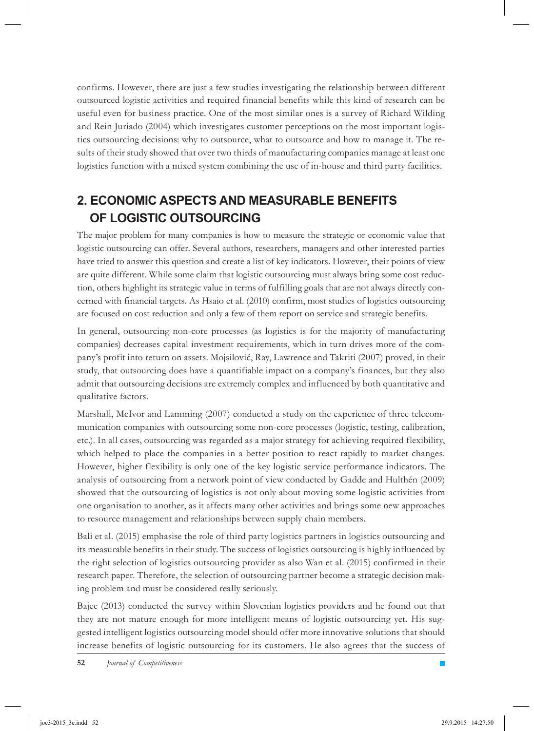confirms. However, there are just a few studies investigating the relationship between different outsourced logistic activities and required financial benefits while this kind of research can be useful even for business practice. One of the most similar ones is a survey of Richard Wilding and Rein Juriado (2004) which investigates customer perceptions on the most important logistics outsourcing decisions: why to outsource, what to outsource and how to manage it. The results of their study showed that over two thirds of manufacturing companies manage at least one logistics function with a mixed system combining the use of in-house and third party facilities.

# **2. ECONOMIC ASPECTS AND MEASURABLE BENEFITS OF LOGISTIC OUTSOURCING**

The major problem for many companies is how to measure the strategic or economic value that logistic outsourcing can offer. Several authors, researchers, managers and other interested parties have tried to answer this question and create a list of key indicators. However, their points of view are quite different. While some claim that logistic outsourcing must always bring some cost reduction, others highlight its strategic value in terms of fulfilling goals that are not always directly concerned with financial targets. As Hsaio et al. (2010) confirm, most studies of logistics outsourcing are focused on cost reduction and only a few of them report on service and strategic benefits.

In general, outsourcing non-core processes (as logistics is for the majority of manufacturing companies) decreases capital investment requirements, which in turn drives more of the company's profit into return on assets. Mojsilović, Ray, Lawrence and Takriti (2007) proved, in their study, that outsourcing does have a quantifiable impact on a company's finances, but they also admit that outsourcing decisions are extremely complex and influenced by both quantitative and qualitative factors.

Marshall, McIvor and Lamming (2007) conducted a study on the experience of three telecommunication companies with outsourcing some non-core processes (logistic, testing, calibration, etc.). In all cases, outsourcing was regarded as a major strategy for achieving required flexibility, which helped to place the companies in a better position to react rapidly to market changes. However, higher flexibility is only one of the key logistic service performance indicators. The analysis of outsourcing from a network point of view conducted by Gadde and Hulthén (2009) showed that the outsourcing of logistics is not only about moving some logistic activities from one organisation to another, as it affects many other activities and brings some new approaches to resource management and relationships between supply chain members.

Bali et al. (2015) emphasise the role of third party logistics partners in logistics outsourcing and its measurable benefits in their study. The success of logistics outsourcing is highly influenced by the right selection of logistics outsourcing provider as also Wan et al. (2015) confirmed in their research paper. Therefore, the selection of outsourcing partner become a strategic decision making problem and must be considered really seriously.

Bajec (2013) conducted the survey within Slovenian logistics providers and he found out that they are not mature enough for more intelligent means of logistic outsourcing yet. His suggested intelligent logistics outsourcing model should offer more innovative solutions that should increase benefits of logistic outsourcing for its customers. He also agrees that the success of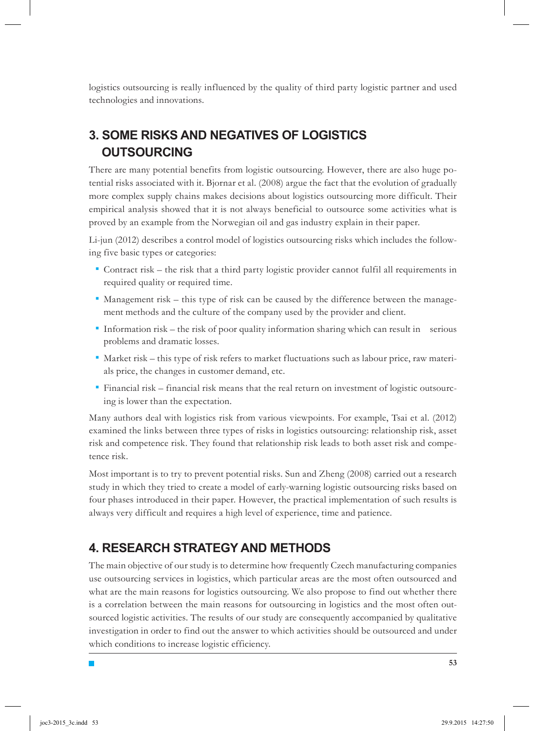logistics outsourcing is really influenced by the quality of third party logistic partner and used technologies and innovations.

# **3. SOME RISKS AND NEGATIVES OF LOGISTICS OUTSOURCING**

There are many potential benefits from logistic outsourcing. However, there are also huge potential risks associated with it. Bjornar et al. (2008) argue the fact that the evolution of gradually more complex supply chains makes decisions about logistics outsourcing more difficult. Their empirical analysis showed that it is not always beneficial to outsource some activities what is proved by an example from the Norwegian oil and gas industry explain in their paper.

Li-jun (2012) describes a control model of logistics outsourcing risks which includes the following five basic types or categories:

- Contract risk the risk that a third party logistic provider cannot fulfil all requirements in *▪* required quality or required time.
- **\*** Management risk this type of risk can be caused by the difference between the management methods and the culture of the company used by the provider and client.
- **\*** Information risk the risk of poor quality information sharing which can result in serious problems and dramatic losses.
- Market risk this type of risk refers to market fluctuations such as labour price, raw materi-*▪* als price, the changes in customer demand, etc.
- Financial risk financial risk means that the real return on investment of logistic outsourc-*▪* ing is lower than the expectation.

Many authors deal with logistics risk from various viewpoints. For example, Tsai et al. (2012) examined the links between three types of risks in logistics outsourcing: relationship risk, asset risk and competence risk. They found that relationship risk leads to both asset risk and competence risk.

Most important is to try to prevent potential risks. Sun and Zheng (2008) carried out a research study in which they tried to create a model of early-warning logistic outsourcing risks based on four phases introduced in their paper. However, the practical implementation of such results is always very difficult and requires a high level of experience, time and patience.

# **4. RESEARCH STRATEGY AND METHODS**

٦

The main objective of our study is to determine how frequently Czech manufacturing companies use outsourcing services in logistics, which particular areas are the most often outsourced and what are the main reasons for logistics outsourcing. We also propose to find out whether there is a correlation between the main reasons for outsourcing in logistics and the most often outsourced logistic activities. The results of our study are consequently accompanied by qualitative investigation in order to find out the answer to which activities should be outsourced and under which conditions to increase logistic efficiency.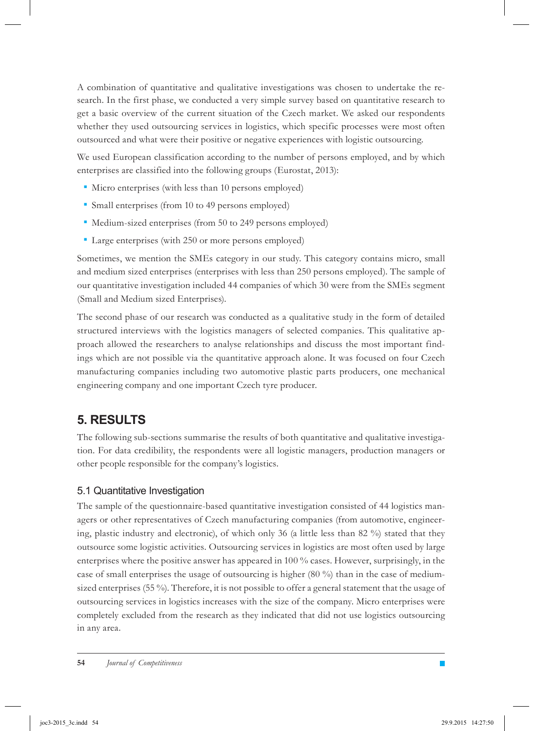A combination of quantitative and qualitative investigations was chosen to undertake the research. In the first phase, we conducted a very simple survey based on quantitative research to get a basic overview of the current situation of the Czech market. We asked our respondents whether they used outsourcing services in logistics, which specific processes were most often outsourced and what were their positive or negative experiences with logistic outsourcing.

We used European classification according to the number of persons employed, and by which enterprises are classified into the following groups (Eurostat, 2013):

- **•** Micro enterprises (with less than 10 persons employed)
- Small enterprises (from 10 to 49 persons employed) *▪*
- **•** Medium-sized enterprises (from 50 to 249 persons employed)
- Large enterprises (with 250 or more persons employed) *▪*

Sometimes, we mention the SMEs category in our study. This category contains micro, small and medium sized enterprises (enterprises with less than 250 persons employed). The sample of our quantitative investigation included 44 companies of which 30 were from the SMEs segment (Small and Medium sized Enterprises).

The second phase of our research was conducted as a qualitative study in the form of detailed structured interviews with the logistics managers of selected companies. This qualitative approach allowed the researchers to analyse relationships and discuss the most important findings which are not possible via the quantitative approach alone. It was focused on four Czech manufacturing companies including two automotive plastic parts producers, one mechanical engineering company and one important Czech tyre producer.

# **5. RESULTS**

The following sub-sections summarise the results of both quantitative and qualitative investigation. For data credibility, the respondents were all logistic managers, production managers or other people responsible for the company's logistics.

### 5.1 Quantitative Investigation

The sample of the questionnaire-based quantitative investigation consisted of 44 logistics managers or other representatives of Czech manufacturing companies (from automotive, engineering, plastic industry and electronic), of which only 36 (a little less than 82 %) stated that they outsource some logistic activities. Outsourcing services in logistics are most often used by large enterprises where the positive answer has appeared in 100 % cases. However, surprisingly, in the case of small enterprises the usage of outsourcing is higher (80 %) than in the case of mediumsized enterprises (55 %). Therefore, it is not possible to offer a general statement that the usage of outsourcing services in logistics increases with the size of the company. Micro enterprises were completely excluded from the research as they indicated that did not use logistics outsourcing in any area.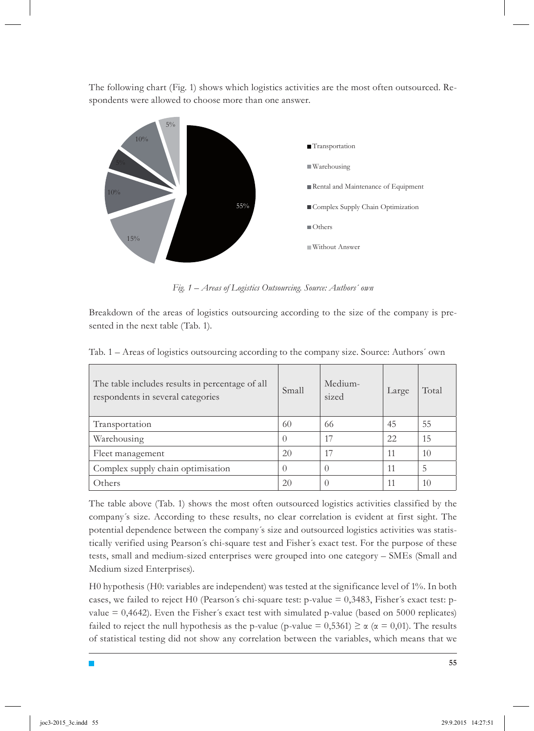The following chart (Fig. 1) shows which logistics activities are the most often outsourced. Respondents were allowed to choose more than one answer.



*Fig. 1 – Areas of Logistics Outsourcing. Source: Authors´ own*

Breakdown of the areas of logistics outsourcing according to the size of the company is presented in the next table (Tab. 1).

| Tab. 1 – Areas of logistics outsourcing according to the company size. Source: Authors' own |  |  |  |
|---------------------------------------------------------------------------------------------|--|--|--|
|                                                                                             |  |  |  |

| The table includes results in percentage of all<br>respondents in several categories | Small | Medium-<br>sized | Large | Total |
|--------------------------------------------------------------------------------------|-------|------------------|-------|-------|
| Transportation                                                                       | 60    | 66               | 45    | 55    |
| Warehousing                                                                          |       | 17               | 22    | 15    |
| Fleet management                                                                     | 20    | 17               | 11    | 10    |
| Complex supply chain optimisation                                                    |       |                  | 11    | 5     |
| Others                                                                               | 20    |                  | 11    | 10    |

The table above (Tab. 1) shows the most often outsourced logistics activities classified by the company´s size. According to these results, no clear correlation is evident at first sight. The potential dependence between the company´s size and outsourced logistics activities was statistically verified using Pearson´s chi-square test and Fisher´s exact test. For the purpose of these tests, small and medium-sized enterprises were grouped into one category – SMEs (Small and Medium sized Enterprises).

H0 hypothesis (H0: variables are independent) was tested at the significance level of 1%. In both cases, we failed to reject H0 (Pearson´s chi-square test: p-value = 0,3483, Fisher´s exact test: pvalue  $= 0,4642$ . Even the Fisher's exact test with simulated p-value (based on 5000 replicates) failed to reject the null hypothesis as the p-value (p-value = 0,5361)  $\geq \alpha$  ( $\alpha$  = 0,01). The results of statistical testing did not show any correlation between the variables, which means that we

T,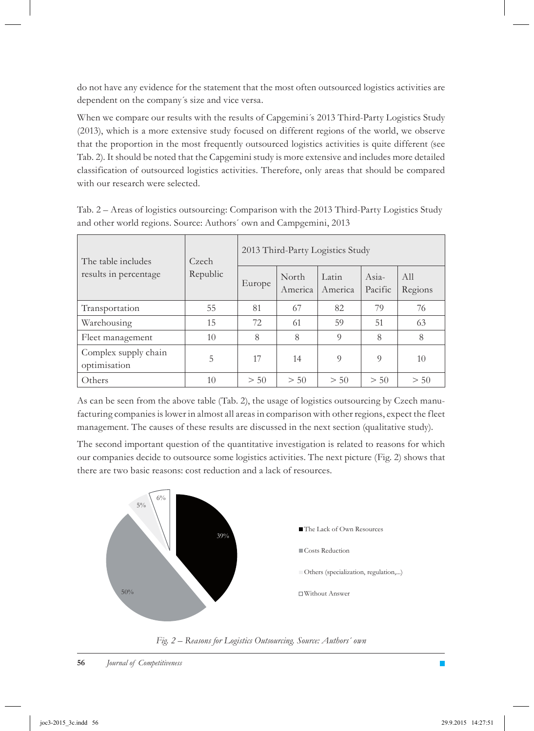do not have any evidence for the statement that the most often outsourced logistics activities are dependent on the company´s size and vice versa.

When we compare our results with the results of Capgemini's 2013 Third-Party Logistics Study (2013), which is a more extensive study focused on different regions of the world, we observe that the proportion in the most frequently outsourced logistics activities is quite different (see Tab. 2). It should be noted that the Capgemini study is more extensive and includes more detailed classification of outsourced logistics activities. Therefore, only areas that should be compared with our research were selected.

Tab. 2 – Areas of logistics outsourcing: Comparison with the 2013 Third-Party Logistics Study and other world regions. Source: Authors´ own and Campgemini, 2013

| The table includes<br>results in percentage | Czech<br>Republic | 2013 Third-Party Logistics Study |                  |                  |                  |                |  |
|---------------------------------------------|-------------------|----------------------------------|------------------|------------------|------------------|----------------|--|
|                                             |                   | Europe                           | North<br>America | Latin<br>America | Asia-<br>Pacific | All<br>Regions |  |
| Transportation                              | 55                | 81                               | 67               | 82               | 79               | 76             |  |
| Warehousing                                 | 15                | 72                               | 61               | 59               | 51               | 63             |  |
| Fleet management                            | 10                | 8                                | 8                | 9                | 8                | 8              |  |
| Complex supply chain<br>optimisation        | 5                 | 17                               | 14               | $\overline{O}$   | $\overline{O}$   | 10             |  |
| Others                                      | 10                | > 50                             | > 50             | > 50             | > 50             | > 50           |  |

As can be seen from the above table (Tab. 2), the usage of logistics outsourcing by Czech manufacturing companies is lower in almost all areas in comparison with other regions, expect the fleet management. The causes of these results are discussed in the next section (qualitative study).

The second important question of the quantitative investigation is related to reasons for which our companies decide to outsource some logistics activities. The next picture (Fig. 2) shows that there are two basic reasons: cost reduction and a lack of resources.



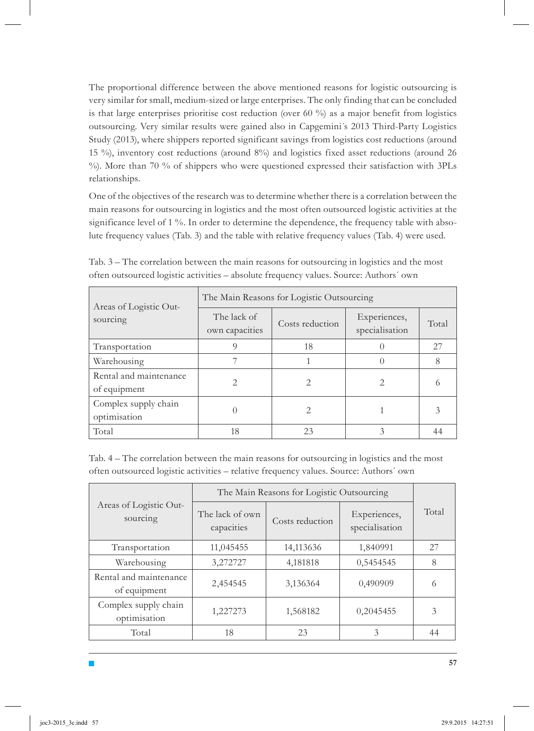The proportional difference between the above mentioned reasons for logistic outsourcing is very similar for small, medium-sized or large enterprises. The only finding that can be concluded is that large enterprises prioritise cost reduction (over 60 %) as a major benefit from logistics outsourcing. Very similar results were gained also in Capgemini´s 2013 Third-Party Logistics Study (2013), where shippers reported significant savings from logistics cost reductions (around 15 %), inventory cost reductions (around 8%) and logistics fixed asset reductions (around 26 %). More than 70 % of shippers who were questioned expressed their satisfaction with 3PLs relationships.

One of the objectives of the research was to determine whether there is a correlation between the main reasons for outsourcing in logistics and the most often outsourced logistic activities at the significance level of 1 %. In order to determine the dependence, the frequency table with absolute frequency values (Tab. 3) and the table with relative frequency values (Tab. 4) were used.

| Areas of Logistic Out-<br>sourcing     | The Main Reasons for Logistic Outsourcing |                 |                                |       |  |
|----------------------------------------|-------------------------------------------|-----------------|--------------------------------|-------|--|
|                                        | The lack of<br>own capacities             | Costs reduction | Experiences,<br>specialisation | Total |  |
| Transportation                         |                                           | 18              |                                | 27    |  |
| Warehousing                            |                                           |                 |                                | 8     |  |
| Rental and maintenance<br>of equipment | 2                                         | 2               |                                |       |  |
| Complex supply chain<br>optimisation   |                                           | 2               |                                |       |  |
| Total                                  | 18                                        | 23              | 3                              |       |  |

Tab. 3 – The correlation between the main reasons for outsourcing in logistics and the most often outsourced logistic activities – absolute frequency values. Source: Authors´ own

Tab. 4 – The correlation between the main reasons for outsourcing in logistics and the most often outsourced logistic activities – relative frequency values. Source: Authors´ own

| Areas of Logistic Out-<br>sourcing     | The Main Reasons for Logistic Outsourcing |                 |                                |       |
|----------------------------------------|-------------------------------------------|-----------------|--------------------------------|-------|
|                                        | The lack of own<br>capacities             | Costs reduction | Experiences,<br>specialisation | Total |
| Transportation                         | 11,045455                                 | 14,113636       | 1,840991                       | 27    |
| Warehousing                            | 3,272727                                  | 4,181818        | 0,5454545                      | 8     |
| Rental and maintenance<br>of equipment | 2,454545                                  | 3,136364        | 0,490909                       | 6     |
| Complex supply chain<br>optimisation   | 1,227273                                  | 1,568182        | 0,2045455                      | 3     |
| Total                                  | 18                                        | 23              | 3                              | 44    |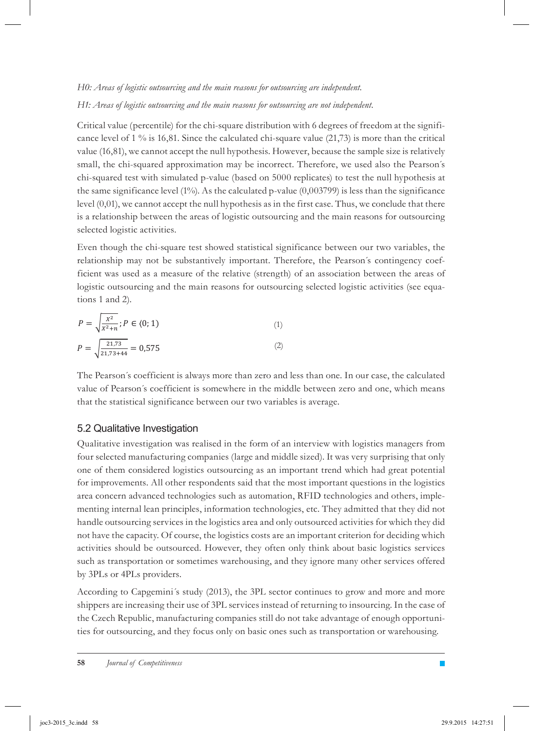*H0: Areas of logistic outsourcing and the main reasons for outsourcing are independent.*

*H1: Areas of logistic outsourcing and the main reasons for outsourcing are not independent.*

Critical value (percentile) for the chi-square distribution with 6 degrees of freedom at the significance level of  $1\%$  is 16,81. Since the calculated chi-square value (21,73) is more than the critical value (16,81), we cannot accept the null hypothesis. However, because the sample size is relatively small, the chi-squared approximation may be incorrect. Therefore, we used also the Pearson´s chi-squared test with simulated p-value (based on 5000 replicates) to test the null hypothesis at the same significance level  $(1\%)$ . As the calculated p-value  $(0,003799)$  is less than the significance level (0,01), we cannot accept the null hypothesis as in the first case. Thus, we conclude that there is a relationship between the areas of logistic outsourcing and the main reasons for outsourcing selected logistic activities.

Even though the chi-square test showed statistical significance between our two variables, the relationship may not be substantively important. Therefore, the Pearson´s contingency coefficient was used as a measure of the relative (strength) of an association between the areas of logistic outsourcing and the main reasons for outsourcing selected logistic activities (see equations 1 and 2).

$$
P = \sqrt{\frac{x^2}{x^2 + n}}; P \in (0; 1)
$$
  
\n
$$
P = \sqrt{\frac{21.73}{21.73 + 44}} = 0.575
$$
\n(2)

The Pearson´s coefficient is always more than zero and less than one. In our case, the calculated value of Pearson´s coefficient is somewhere in the middle between zero and one, which means that the statistical significance between our two variables is average.

### 5.2 Qualitative Investigation

Qualitative investigation was realised in the form of an interview with logistics managers from four selected manufacturing companies (large and middle sized). It was very surprising that only one of them considered logistics outsourcing as an important trend which had great potential for improvements. All other respondents said that the most important questions in the logistics area concern advanced technologies such as automation, RFID technologies and others, implementing internal lean principles, information technologies, etc. They admitted that they did not handle outsourcing services in the logistics area and only outsourced activities for which they did not have the capacity. Of course, the logistics costs are an important criterion for deciding which activities should be outsourced. However, they often only think about basic logistics services such as transportation or sometimes warehousing, and they ignore many other services offered by 3PLs or 4PLs providers.

According to Capgemini's study (2013), the 3PL sector continues to grow and more and more shippers are increasing their use of 3PL services instead of returning to insourcing. In the case of the Czech Republic, manufacturing companies still do not take advantage of enough opportunities for outsourcing, and they focus only on basic ones such as transportation or warehousing.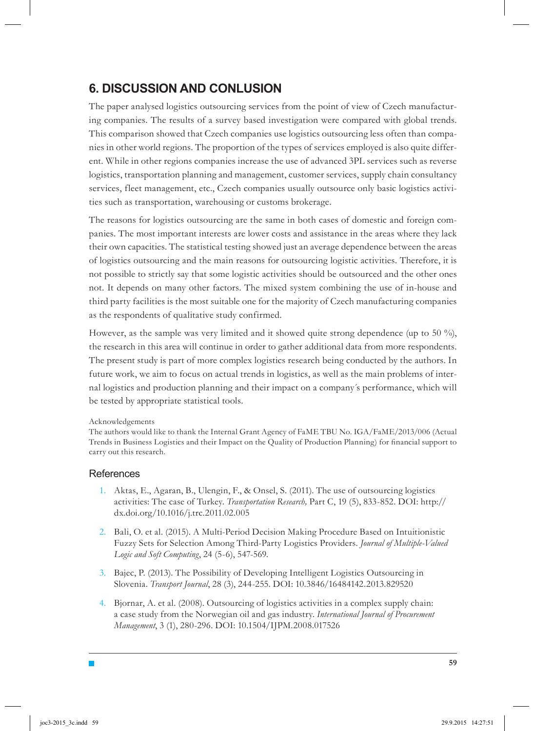## **6. DISCUSSION AND CONLUSION**

The paper analysed logistics outsourcing services from the point of view of Czech manufacturing companies. The results of a survey based investigation were compared with global trends. This comparison showed that Czech companies use logistics outsourcing less often than companies in other world regions. The proportion of the types of services employed is also quite different. While in other regions companies increase the use of advanced 3PL services such as reverse logistics, transportation planning and management, customer services, supply chain consultancy services, fleet management, etc., Czech companies usually outsource only basic logistics activities such as transportation, warehousing or customs brokerage.

The reasons for logistics outsourcing are the same in both cases of domestic and foreign companies. The most important interests are lower costs and assistance in the areas where they lack their own capacities. The statistical testing showed just an average dependence between the areas of logistics outsourcing and the main reasons for outsourcing logistic activities. Therefore, it is not possible to strictly say that some logistic activities should be outsourced and the other ones not. It depends on many other factors. The mixed system combining the use of in-house and third party facilities is the most suitable one for the majority of Czech manufacturing companies as the respondents of qualitative study confirmed.

However, as the sample was very limited and it showed quite strong dependence (up to 50 %), the research in this area will continue in order to gather additional data from more respondents. The present study is part of more complex logistics research being conducted by the authors. In future work, we aim to focus on actual trends in logistics, as well as the main problems of internal logistics and production planning and their impact on a company´s performance, which will be tested by appropriate statistical tools.

#### Acknowledgements

The authors would like to thank the Internal Grant Agency of FaME TBU No. IGA/FaME/2013/006 (Actual Trends in Business Logistics and their Impact on the Quality of Production Planning) for financial support to carry out this research.

#### **References**

- Aktas, E., Agaran, B., Ulengin, F., & Onsel, S. (2011). The use of outsourcing logistics 1. activities: The case of Turkey. *Transportation Research,* Part C, 19 (5), 833-852. DOI: http:// dx.doi.org/10.1016/j.trc.2011.02.005
- 2. Bali, O. et al. (2015). A Multi-Period Decision Making Procedure Based on Intuitionistic Fuzzy Sets for Selection Among Third-Party Logistics Providers. *Journal of Multiple-Valued Logic and Soft Computing*, 24 (5-6), 547-569.
- Bajec, P. (2013). The Possibility of Developing Intelligent Logistics Outsourcing in 3. Slovenia. *Transport Journal*, 28 (3), 244-255. DOI: 10.3846/16484142.2013.829520
- Bjornar, A. et al. (2008). Outsourcing of logistics activities in a complex supply chain: 4. a case study from the Norwegian oil and gas industry. *International Journal of Procurement Management*, 3 (1), 280-296. DOI: 10.1504/IJPM.2008.017526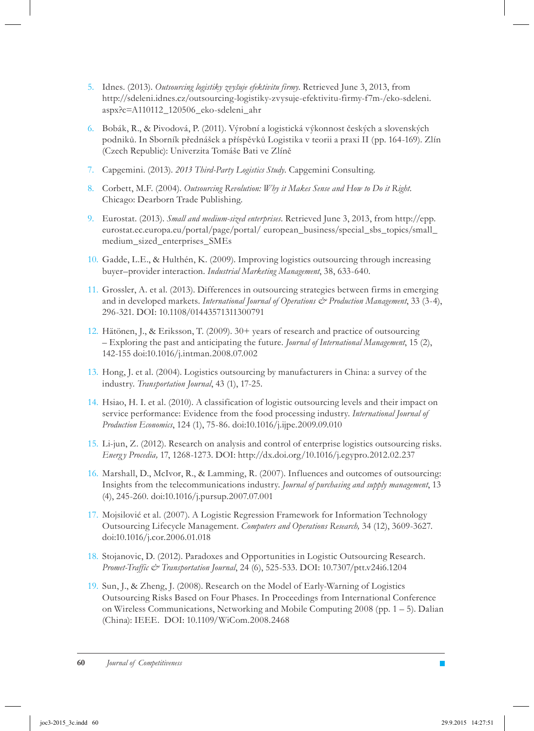- Idnes. (2013). *Outsourcing logistiky zvyšuje efektivitu firmy*. Retrieved June 3, 2013, from 5. http://sdeleni.idnes.cz/outsourcing-logistiky-zvysuje-efektivitu-firmy-f7m-/eko-sdeleni. aspx?c=A110112\_120506\_eko-sdeleni\_ahr
- Bobák, R., & Pivodová, P. (2011). Výrobní a logistická výkonnost českých a slovenských 6. podniků. In Sborník přednášek a příspěvků Logistika v teorii a praxi II (pp. 164-169). Zlín (Czech Republic): Univerzita Tomáše Bati ve Zlíně
- Capgemini. (2013). *2013 Third-Party Logistics Study.* Capgemini Consulting. 7.
- Corbett, M.F. (2004). *Outsourcing Revolution: Why it Makes Sense and How to Do it Right.* 8. Chicago: Dearborn Trade Publishing.
- Eurostat. (2013). *Small and medium-sized enterprises.* Retrieved June 3, 2013, from http://epp. 9. eurostat.ec.europa.eu/portal/page/portal/ european\_business/special\_sbs\_topics/small\_ medium\_sized\_enterprises\_SMEs
- Gadde, L.E., & Hulthén, K. (2009). Improving logistics outsourcing through increasing 10. buyer–provider interaction. *Industrial Marketing Management*, 38, 633-640.
- Grossler, A. et al. (2013). Differences in outsourcing strategies between firms in emerging 11. and in developed markets. *International Journal of Operations & Production Management*, 33 (3-4), 296-321. DOI: 10.1108/01443571311300791
- 12. Hätönen, J., & Eriksson, T. (2009). 30+ years of research and practice of outsourcing – Exploring the past and anticipating the future. *Journal of International Management*, 15 (2), 142-155 doi:10.1016/j.intman.2008.07.002
- 13. Hong, J. et al. (2004). Logistics outsourcing by manufacturers in China: a survey of the industry. *Transportation Journal*, 43 (1), 17-25.
- 14. Hsiao, H. I. et al. (2010). A classification of logistic outsourcing levels and their impact on service performance: Evidence from the food processing industry. *International Journal of Production Economics*, 124 (1), 75-86. doi:10.1016/j.ijpe.2009.09.010
- 15. Li-jun, Z. (2012). Research on analysis and control of enterprise logistics outsourcing risks. *Energ y Procedia,* 17, 1268-1273. DOI: http://dx.doi.org/10.1016/j.egypro.2012.02.237
- 16. Marshall, D., McIvor, R., & Lamming, R. (2007). Influences and outcomes of outsourcing: Insights from the telecommunications industry. *Journal of purchasing and supply management*, 13 (4), 245-260. doi:10.1016/j.pursup.2007.07.001
- 17. Mojsilović et al. (2007). A Logistic Regression Framework for Information Technology Outsourcing Lifecycle Management. *Computers and Operations Research,* 34 (12), 3609-3627. doi:10.1016/j.cor.2006.01.018
- 18. Stojanovic, D. (2012). Paradoxes and Opportunities in Logistic Outsourcing Research. *Promet-Traffic & Transportation Journal*, 24 (6), 525-533. DOI: 10.7307/ptt.v24i6.1204
- 19. Sun, J., & Zheng, J. (2008). Research on the Model of Early-Warning of Logistics Outsourcing Risks Based on Four Phases. In Proceedings from International Conference on Wireless Communications, Networking and Mobile Computing  $2008$  (pp. 1 – 5). Dalian (China): IEEE. DOI: 10.1109/WiCom.2008.2468